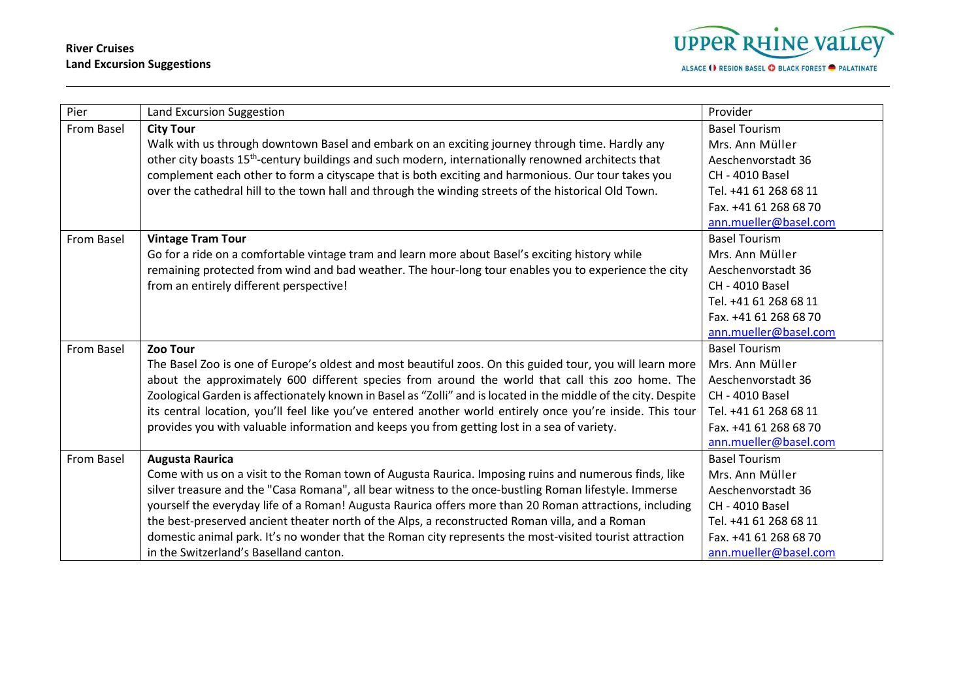## **River Cruises Land Excursion Suggestions**



| Pier       | Land Excursion Suggestion                                                                                       | Provider               |
|------------|-----------------------------------------------------------------------------------------------------------------|------------------------|
| From Basel | <b>City Tour</b>                                                                                                | <b>Basel Tourism</b>   |
|            | Walk with us through downtown Basel and embark on an exciting journey through time. Hardly any                  | Mrs. Ann Müller        |
|            | other city boasts 15 <sup>th</sup> -century buildings and such modern, internationally renowned architects that | Aeschenvorstadt 36     |
|            | complement each other to form a cityscape that is both exciting and harmonious. Our tour takes you              | CH - 4010 Basel        |
|            | over the cathedral hill to the town hall and through the winding streets of the historical Old Town.            | Tel. +41 61 268 68 11  |
|            |                                                                                                                 | Fax. +41 61 268 68 70  |
|            |                                                                                                                 | ann.mueller@basel.com  |
| From Basel | <b>Vintage Tram Tour</b>                                                                                        | <b>Basel Tourism</b>   |
|            | Go for a ride on a comfortable vintage tram and learn more about Basel's exciting history while                 | Mrs. Ann Müller        |
|            | remaining protected from wind and bad weather. The hour-long tour enables you to experience the city            | Aeschenvorstadt 36     |
|            | from an entirely different perspective!                                                                         | CH - 4010 Basel        |
|            |                                                                                                                 | Tel. +41 61 268 68 11  |
|            |                                                                                                                 | Fax. +41 61 268 68 70  |
|            |                                                                                                                 | ann.mueller@basel.com  |
| From Basel | Zoo Tour                                                                                                        | <b>Basel Tourism</b>   |
|            | The Basel Zoo is one of Europe's oldest and most beautiful zoos. On this guided tour, you will learn more       | Mrs. Ann Müller        |
|            | about the approximately 600 different species from around the world that call this zoo home. The                | Aeschenvorstadt 36     |
|            | Zoological Garden is affectionately known in Basel as "Zolli" and is located in the middle of the city. Despite | CH - 4010 Basel        |
|            | its central location, you'll feel like you've entered another world entirely once you're inside. This tour      | Tel. +41 61 268 68 11  |
|            | provides you with valuable information and keeps you from getting lost in a sea of variety.                     | Fax. +41 61 268 68 70  |
|            |                                                                                                                 | ann.mueller@basel.com  |
| From Basel | <b>Augusta Raurica</b>                                                                                          | <b>Basel Tourism</b>   |
|            | Come with us on a visit to the Roman town of Augusta Raurica. Imposing ruins and numerous finds, like           | Mrs. Ann Müller        |
|            | silver treasure and the "Casa Romana", all bear witness to the once-bustling Roman lifestyle. Immerse           | Aeschenvorstadt 36     |
|            | yourself the everyday life of a Roman! Augusta Raurica offers more than 20 Roman attractions, including         | <b>CH - 4010 Basel</b> |
|            | the best-preserved ancient theater north of the Alps, a reconstructed Roman villa, and a Roman                  | Tel. +41 61 268 68 11  |
|            | domestic animal park. It's no wonder that the Roman city represents the most-visited tourist attraction         | Fax. +41 61 268 68 70  |
|            | in the Switzerland's Baselland canton.                                                                          | ann.mueller@basel.com  |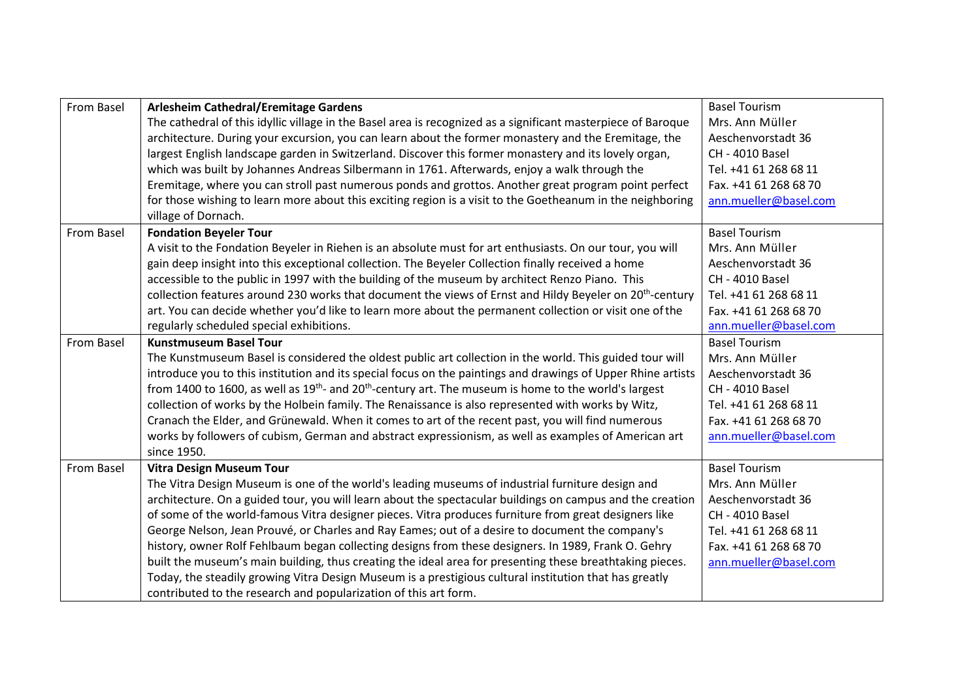| From Basel | Arlesheim Cathedral/Eremitage Gardens                                                                                             | <b>Basel Tourism</b>   |
|------------|-----------------------------------------------------------------------------------------------------------------------------------|------------------------|
|            | The cathedral of this idyllic village in the Basel area is recognized as a significant masterpiece of Baroque                     | Mrs. Ann Müller        |
|            | architecture. During your excursion, you can learn about the former monastery and the Eremitage, the                              | Aeschenvorstadt 36     |
|            | largest English landscape garden in Switzerland. Discover this former monastery and its lovely organ,                             | <b>CH - 4010 Basel</b> |
|            | which was built by Johannes Andreas Silbermann in 1761. Afterwards, enjoy a walk through the                                      | Tel. +41 61 268 68 11  |
|            | Eremitage, where you can stroll past numerous ponds and grottos. Another great program point perfect                              | Fax. +41 61 268 68 70  |
|            | for those wishing to learn more about this exciting region is a visit to the Goetheanum in the neighboring<br>village of Dornach. | ann.mueller@basel.com  |
| From Basel | <b>Fondation Beyeler Tour</b>                                                                                                     | <b>Basel Tourism</b>   |
|            | A visit to the Fondation Beyeler in Riehen is an absolute must for art enthusiasts. On our tour, you will                         | Mrs. Ann Müller        |
|            | gain deep insight into this exceptional collection. The Beyeler Collection finally received a home                                | Aeschenvorstadt 36     |
|            | accessible to the public in 1997 with the building of the museum by architect Renzo Piano. This                                   | <b>CH - 4010 Basel</b> |
|            | collection features around 230 works that document the views of Ernst and Hildy Beyeler on 20 <sup>th</sup> -century              | Tel. +41 61 268 68 11  |
|            | art. You can decide whether you'd like to learn more about the permanent collection or visit one of the                           | Fax. +41 61 268 68 70  |
|            | regularly scheduled special exhibitions.                                                                                          | ann.mueller@basel.com  |
| From Basel | <b>Kunstmuseum Basel Tour</b>                                                                                                     | <b>Basel Tourism</b>   |
|            | The Kunstmuseum Basel is considered the oldest public art collection in the world. This guided tour will                          | Mrs. Ann Müller        |
|            | introduce you to this institution and its special focus on the paintings and drawings of Upper Rhine artists                      | Aeschenvorstadt 36     |
|            | from 1400 to 1600, as well as 19 <sup>th</sup> - and 20 <sup>th</sup> -century art. The museum is home to the world's largest     | <b>CH - 4010 Basel</b> |
|            | collection of works by the Holbein family. The Renaissance is also represented with works by Witz,                                | Tel. +41 61 268 68 11  |
|            | Cranach the Elder, and Grünewald. When it comes to art of the recent past, you will find numerous                                 | Fax. +41 61 268 68 70  |
|            | works by followers of cubism, German and abstract expressionism, as well as examples of American art<br>since 1950.               | ann.mueller@basel.com  |
| From Basel | <b>Vitra Design Museum Tour</b>                                                                                                   | <b>Basel Tourism</b>   |
|            | The Vitra Design Museum is one of the world's leading museums of industrial furniture design and                                  | Mrs. Ann Müller        |
|            | architecture. On a guided tour, you will learn about the spectacular buildings on campus and the creation                         | Aeschenvorstadt 36     |
|            | of some of the world-famous Vitra designer pieces. Vitra produces furniture from great designers like                             | <b>CH - 4010 Basel</b> |
|            | George Nelson, Jean Prouvé, or Charles and Ray Eames; out of a desire to document the company's                                   | Tel. +41 61 268 68 11  |
|            | history, owner Rolf Fehlbaum began collecting designs from these designers. In 1989, Frank O. Gehry                               | Fax. +41 61 268 68 70  |
|            | built the museum's main building, thus creating the ideal area for presenting these breathtaking pieces.                          | ann.mueller@basel.com  |
|            | Today, the steadily growing Vitra Design Museum is a prestigious cultural institution that has greatly                            |                        |
|            | contributed to the research and popularization of this art form.                                                                  |                        |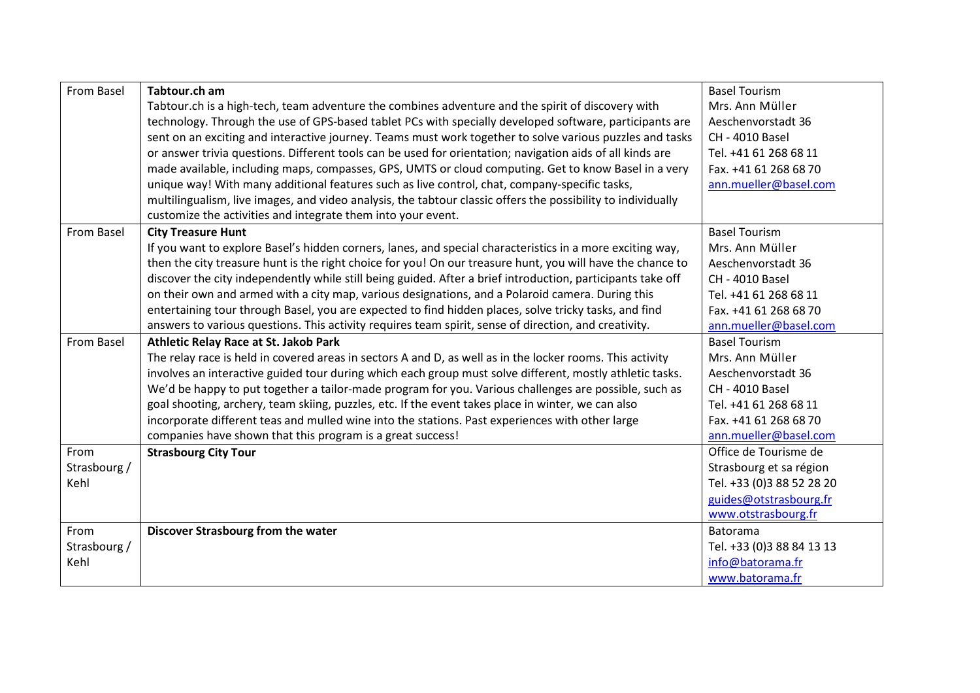| From Basel        | Tabtour.ch am                                                                                                | <b>Basel Tourism</b>      |
|-------------------|--------------------------------------------------------------------------------------------------------------|---------------------------|
|                   | Tabtour.ch is a high-tech, team adventure the combines adventure and the spirit of discovery with            | Mrs. Ann Müller           |
|                   | technology. Through the use of GPS-based tablet PCs with specially developed software, participants are      | Aeschenvorstadt 36        |
|                   | sent on an exciting and interactive journey. Teams must work together to solve various puzzles and tasks     | <b>CH - 4010 Basel</b>    |
|                   | or answer trivia questions. Different tools can be used for orientation; navigation aids of all kinds are    | Tel. +41 61 268 68 11     |
|                   | made available, including maps, compasses, GPS, UMTS or cloud computing. Get to know Basel in a very         | Fax. +41 61 268 68 70     |
|                   | unique way! With many additional features such as live control, chat, company-specific tasks,                | ann.mueller@basel.com     |
|                   | multilingualism, live images, and video analysis, the tabtour classic offers the possibility to individually |                           |
|                   | customize the activities and integrate them into your event.                                                 |                           |
| From Basel        | <b>City Treasure Hunt</b>                                                                                    | <b>Basel Tourism</b>      |
|                   | If you want to explore Basel's hidden corners, lanes, and special characteristics in a more exciting way,    | Mrs. Ann Müller           |
|                   | then the city treasure hunt is the right choice for you! On our treasure hunt, you will have the chance to   | Aeschenvorstadt 36        |
|                   | discover the city independently while still being guided. After a brief introduction, participants take off  | <b>CH - 4010 Basel</b>    |
|                   | on their own and armed with a city map, various designations, and a Polaroid camera. During this             | Tel. +41 61 268 68 11     |
|                   | entertaining tour through Basel, you are expected to find hidden places, solve tricky tasks, and find        | Fax. +41 61 268 68 70     |
|                   | answers to various questions. This activity requires team spirit, sense of direction, and creativity.        | ann.mueller@basel.com     |
| <b>From Basel</b> | Athletic Relay Race at St. Jakob Park                                                                        | <b>Basel Tourism</b>      |
|                   | The relay race is held in covered areas in sectors A and D, as well as in the locker rooms. This activity    | Mrs. Ann Müller           |
|                   | involves an interactive guided tour during which each group must solve different, mostly athletic tasks.     | Aeschenvorstadt 36        |
|                   | We'd be happy to put together a tailor-made program for you. Various challenges are possible, such as        | <b>CH - 4010 Basel</b>    |
|                   | goal shooting, archery, team skiing, puzzles, etc. If the event takes place in winter, we can also           | Tel. +41 61 268 68 11     |
|                   | incorporate different teas and mulled wine into the stations. Past experiences with other large              | Fax. +41 61 268 68 70     |
|                   | companies have shown that this program is a great success!                                                   | ann.mueller@basel.com     |
| From              | <b>Strasbourg City Tour</b>                                                                                  | Office de Tourisme de     |
| Strasbourg /      |                                                                                                              | Strasbourg et sa région   |
| Kehl              |                                                                                                              | Tel. +33 (0)3 88 52 28 20 |
|                   |                                                                                                              | guides@otstrasbourg.fr    |
|                   |                                                                                                              | www.otstrasbourg.fr       |
| From              | Discover Strasbourg from the water                                                                           | <b>Batorama</b>           |
| Strasbourg /      |                                                                                                              | Tel. +33 (0)3 88 84 13 13 |
| Kehl              |                                                                                                              | info@batorama.fr          |
|                   |                                                                                                              | www.batorama.fr           |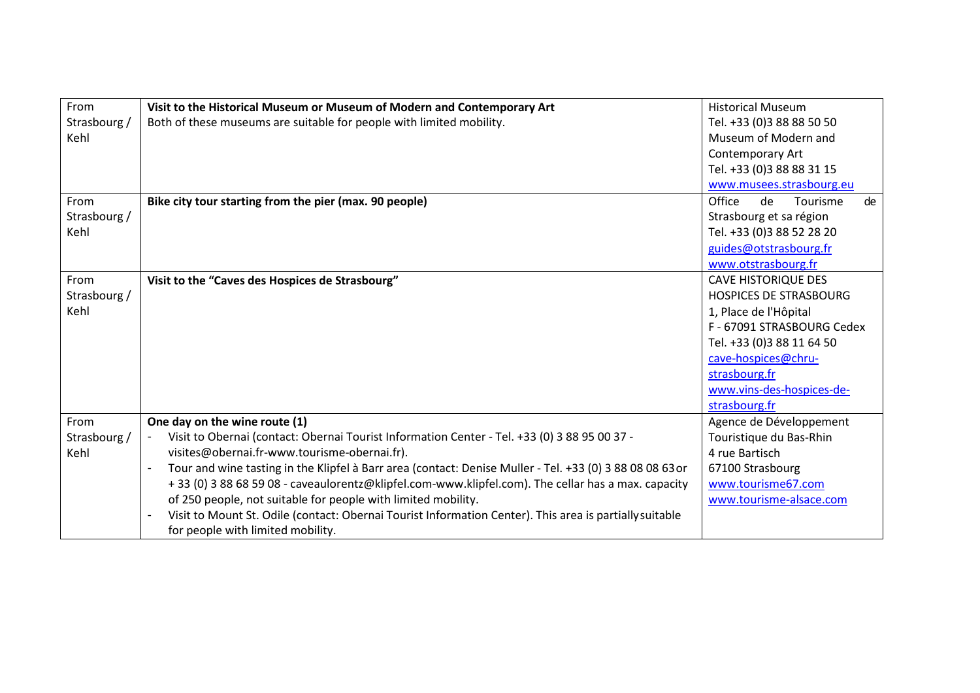| From         | Visit to the Historical Museum or Museum of Modern and Contemporary Art                                  | <b>Historical Museum</b>       |
|--------------|----------------------------------------------------------------------------------------------------------|--------------------------------|
| Strasbourg / | Both of these museums are suitable for people with limited mobility.                                     | Tel. +33 (0)3 88 88 50 50      |
| Kehl         |                                                                                                          | Museum of Modern and           |
|              |                                                                                                          | Contemporary Art               |
|              |                                                                                                          | Tel. +33 (0)3 88 88 31 15      |
|              |                                                                                                          | www.musees.strasbourg.eu       |
| From         | Bike city tour starting from the pier (max. 90 people)                                                   | Office<br>de<br>Tourisme<br>de |
| Strasbourg / |                                                                                                          | Strasbourg et sa région        |
| Kehl         |                                                                                                          | Tel. +33 (0)3 88 52 28 20      |
|              |                                                                                                          | guides@otstrasbourg.fr         |
|              |                                                                                                          | www.otstrasbourg.fr            |
| From         | Visit to the "Caves des Hospices de Strasbourg"                                                          | <b>CAVE HISTORIQUE DES</b>     |
| Strasbourg / |                                                                                                          | <b>HOSPICES DE STRASBOURG</b>  |
| Kehl         |                                                                                                          | 1, Place de l'Hôpital          |
|              |                                                                                                          | F - 67091 STRASBOURG Cedex     |
|              |                                                                                                          | Tel. +33 (0)3 88 11 64 50      |
|              |                                                                                                          | cave-hospices@chru-            |
|              |                                                                                                          | strasbourg.fr                  |
|              |                                                                                                          | www.vins-des-hospices-de-      |
|              |                                                                                                          | strasbourg.fr                  |
| From         | One day on the wine route (1)                                                                            | Agence de Développement        |
| Strasbourg / | Visit to Obernai (contact: Obernai Tourist Information Center - Tel. +33 (0) 3 88 95 00 37 -             | Touristique du Bas-Rhin        |
| Kehl         | visites@obernai.fr-www.tourisme-obernai.fr).                                                             | 4 rue Bartisch                 |
|              | Tour and wine tasting in the Klipfel à Barr area (contact: Denise Muller - Tel. +33 (0) 3 88 08 08 63 or | 67100 Strasbourg               |
|              | +33 (0) 3 88 68 59 08 - caveaulorentz@klipfel.com-www.klipfel.com). The cellar has a max. capacity       | www.tourisme67.com             |
|              | of 250 people, not suitable for people with limited mobility.                                            | www.tourisme-alsace.com        |
|              | Visit to Mount St. Odile (contact: Obernai Tourist Information Center). This area is partially suitable  |                                |
|              | for people with limited mobility.                                                                        |                                |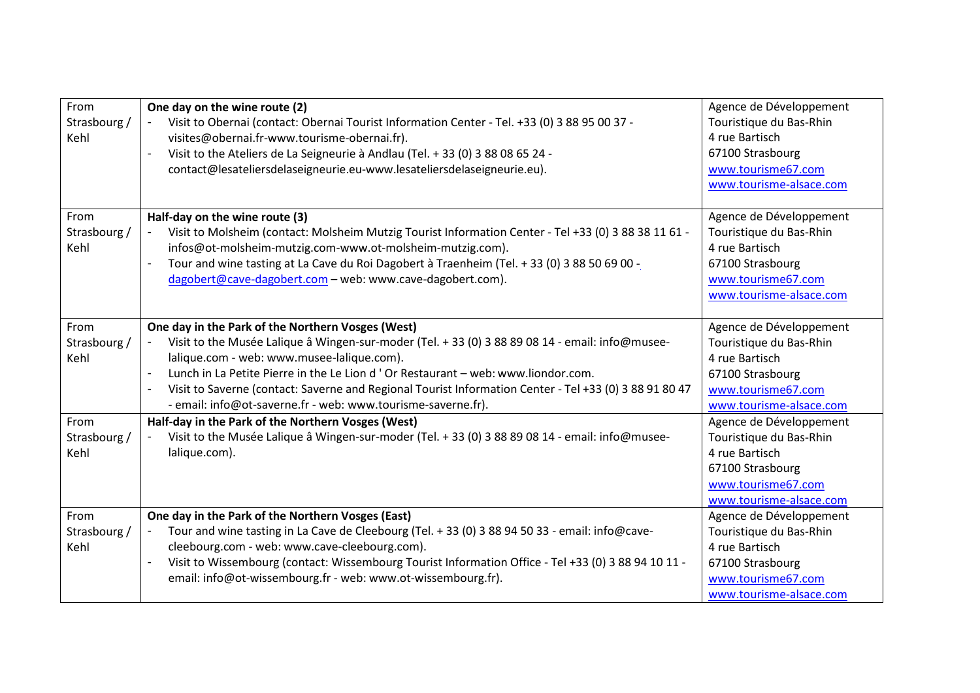| From<br>Strasbourg /<br>Kehl | One day on the wine route (2)<br>Visit to Obernai (contact: Obernai Tourist Information Center - Tel. +33 (0) 3 88 95 00 37 -<br>visites@obernai.fr-www.tourisme-obernai.fr).<br>Visit to the Ateliers de La Seigneurie à Andlau (Tel. + 33 (0) 3 88 08 65 24 -<br>$\blacksquare$<br>contact@lesateliersdelaseigneurie.eu-www.lesateliersdelaseigneurie.eu).                                                                                                                                 | Agence de Développement<br>Touristique du Bas-Rhin<br>4 rue Bartisch<br>67100 Strasbourg<br>www.tourisme67.com<br>www.tourisme-alsace.com |
|------------------------------|----------------------------------------------------------------------------------------------------------------------------------------------------------------------------------------------------------------------------------------------------------------------------------------------------------------------------------------------------------------------------------------------------------------------------------------------------------------------------------------------|-------------------------------------------------------------------------------------------------------------------------------------------|
| From<br>Strasbourg /<br>Kehl | Half-day on the wine route (3)<br>Visit to Molsheim (contact: Molsheim Mutzig Tourist Information Center - Tel +33 (0) 3 88 38 11 61 -<br>infos@ot-molsheim-mutzig.com-www.ot-molsheim-mutzig.com).<br>Tour and wine tasting at La Cave du Roi Dagobert à Traenheim (Tel. + 33 (0) 3 88 50 69 00 -<br>$\overline{\phantom{a}}$<br>dagobert@cave-dagobert.com - web: www.cave-dagobert.com).                                                                                                  | Agence de Développement<br>Touristique du Bas-Rhin<br>4 rue Bartisch<br>67100 Strasbourg<br>www.tourisme67.com<br>www.tourisme-alsace.com |
| From<br>Strasbourg /<br>Kehl | One day in the Park of the Northern Vosges (West)<br>Visit to the Musée Lalique â Wingen-sur-moder (Tel. + 33 (0) 3 88 89 08 14 - email: info@musee-<br>lalique.com - web: www.musee-lalique.com).<br>Lunch in La Petite Pierre in the Le Lion d'Or Restaurant - web: www.liondor.com.<br>$\overline{\phantom{a}}$<br>Visit to Saverne (contact: Saverne and Regional Tourist Information Center - Tel +33 (0) 3 88 91 80 47<br>- email: info@ot-saverne.fr - web: www.tourisme-saverne.fr). | Agence de Développement<br>Touristique du Bas-Rhin<br>4 rue Bartisch<br>67100 Strasbourg<br>www.tourisme67.com<br>www.tourisme-alsace.com |
| From<br>Strasbourg /<br>Kehl | Half-day in the Park of the Northern Vosges (West)<br>Visit to the Musée Lalique â Wingen-sur-moder (Tel. + 33 (0) 3 88 89 08 14 - email: info@musee-<br>lalique.com).                                                                                                                                                                                                                                                                                                                       | Agence de Développement<br>Touristique du Bas-Rhin<br>4 rue Bartisch<br>67100 Strasbourg<br>www.tourisme67.com<br>www.tourisme-alsace.com |
| From<br>Strasbourg /<br>Kehl | One day in the Park of the Northern Vosges (East)<br>Tour and wine tasting in La Cave de Cleebourg (Tel. + 33 (0) 3 88 94 50 33 - email: info@cave-<br>cleebourg.com - web: www.cave-cleebourg.com).<br>Visit to Wissembourg (contact: Wissembourg Tourist Information Office - Tel +33 (0) 3 88 94 10 11 -<br>email: info@ot-wissembourg.fr - web: www.ot-wissembourg.fr).                                                                                                                  | Agence de Développement<br>Touristique du Bas-Rhin<br>4 rue Bartisch<br>67100 Strasbourg<br>www.tourisme67.com<br>www.tourisme-alsace.com |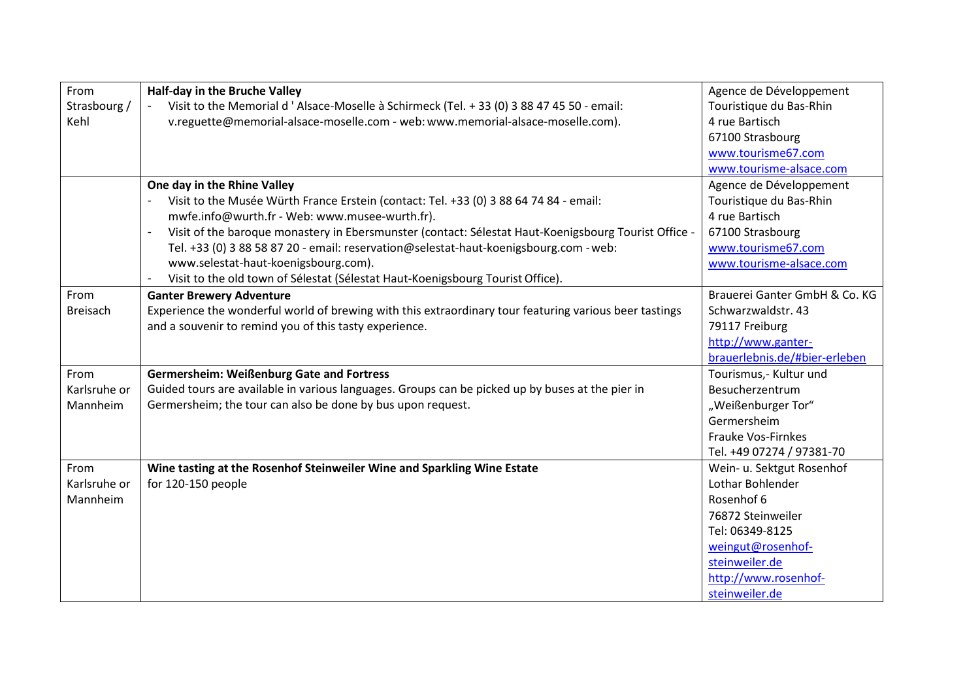| From            | Half-day in the Bruche Valley                                                                                          | Agence de Développement       |
|-----------------|------------------------------------------------------------------------------------------------------------------------|-------------------------------|
| Strasbourg /    | Visit to the Memorial d 'Alsace-Moselle à Schirmeck (Tel. + 33 (0) 3 88 47 45 50 - email:                              | Touristique du Bas-Rhin       |
| Kehl            | v.reguette@memorial-alsace-moselle.com - web: www.memorial-alsace-moselle.com).                                        | 4 rue Bartisch                |
|                 |                                                                                                                        | 67100 Strasbourg              |
|                 |                                                                                                                        | www.tourisme67.com            |
|                 |                                                                                                                        | www.tourisme-alsace.com       |
|                 | One day in the Rhine Valley                                                                                            | Agence de Développement       |
|                 | Visit to the Musée Würth France Erstein (contact: Tel. +33 (0) 3 88 64 74 84 - email:                                  | Touristique du Bas-Rhin       |
|                 | mwfe.info@wurth.fr - Web: www.musee-wurth.fr).                                                                         | 4 rue Bartisch                |
|                 | Visit of the baroque monastery in Ebersmunster (contact: Sélestat Haut-Koenigsbourg Tourist Office -<br>$\overline{a}$ | 67100 Strasbourg              |
|                 | Tel. +33 (0) 3 88 58 87 20 - email: reservation@selestat-haut-koenigsbourg.com - web:                                  | www.tourisme67.com            |
|                 | www.selestat-haut-koenigsbourg.com).                                                                                   | www.tourisme-alsace.com       |
|                 | Visit to the old town of Sélestat (Sélestat Haut-Koenigsbourg Tourist Office).<br>$\overline{\phantom{a}}$             |                               |
| From            | <b>Ganter Brewery Adventure</b>                                                                                        | Brauerei Ganter GmbH & Co. KG |
| <b>Breisach</b> | Experience the wonderful world of brewing with this extraordinary tour featuring various beer tastings                 | Schwarzwaldstr. 43            |
|                 | and a souvenir to remind you of this tasty experience.                                                                 | 79117 Freiburg                |
|                 |                                                                                                                        | http://www.ganter-            |
|                 |                                                                                                                        | brauerlebnis.de/#bier-erleben |
| From            | <b>Germersheim: Weißenburg Gate and Fortress</b>                                                                       | Tourismus,- Kultur und        |
| Karlsruhe or    | Guided tours are available in various languages. Groups can be picked up by buses at the pier in                       | Besucherzentrum               |
| Mannheim        | Germersheim; the tour can also be done by bus upon request.                                                            | "Weißenburger Tor"            |
|                 |                                                                                                                        | Germersheim                   |
|                 |                                                                                                                        | <b>Frauke Vos-Firnkes</b>     |
|                 |                                                                                                                        | Tel. +49 07274 / 97381-70     |
| From            | Wine tasting at the Rosenhof Steinweiler Wine and Sparkling Wine Estate                                                | Wein- u. Sektgut Rosenhof     |
| Karlsruhe or    | for 120-150 people                                                                                                     | Lothar Bohlender              |
| Mannheim        |                                                                                                                        | Rosenhof 6                    |
|                 |                                                                                                                        | 76872 Steinweiler             |
|                 |                                                                                                                        | Tel: 06349-8125               |
|                 |                                                                                                                        | weingut@rosenhof-             |
|                 |                                                                                                                        | steinweiler.de                |
|                 |                                                                                                                        | http://www.rosenhof-          |
|                 |                                                                                                                        | steinweiler.de                |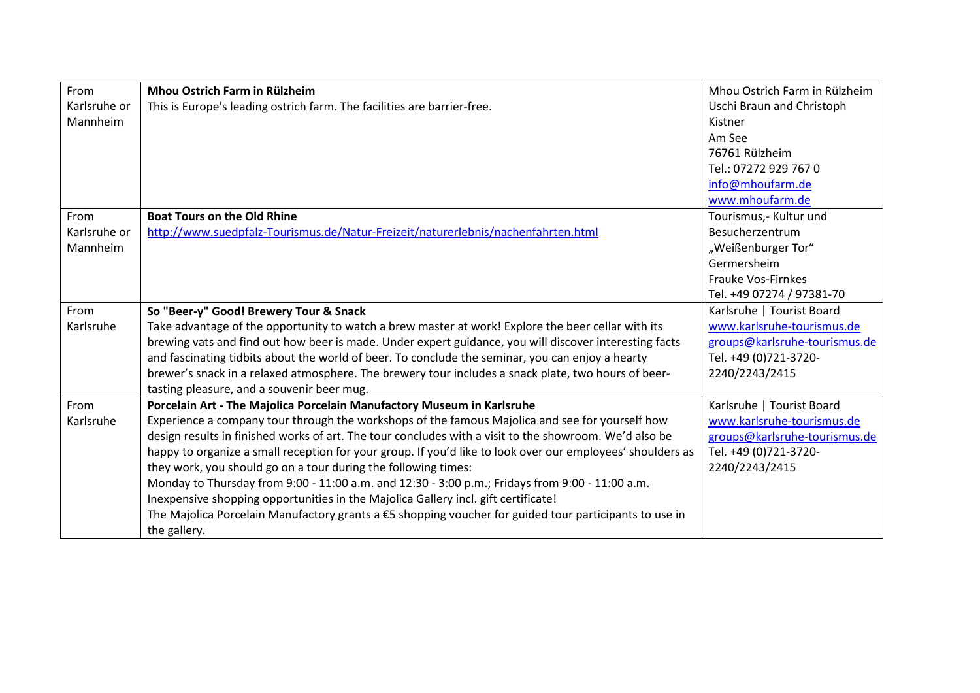| From         | Mhou Ostrich Farm in Rülzheim                                                                              | Mhou Ostrich Farm in Rülzheim |
|--------------|------------------------------------------------------------------------------------------------------------|-------------------------------|
| Karlsruhe or | This is Europe's leading ostrich farm. The facilities are barrier-free.                                    | Uschi Braun and Christoph     |
| Mannheim     |                                                                                                            | Kistner                       |
|              |                                                                                                            | Am See                        |
|              |                                                                                                            | 76761 Rülzheim                |
|              |                                                                                                            | Tel.: 07272 929 767 0         |
|              |                                                                                                            | info@mhoufarm.de              |
|              |                                                                                                            | www.mhoufarm.de               |
| From         | <b>Boat Tours on the Old Rhine</b>                                                                         | Tourismus,- Kultur und        |
| Karlsruhe or | http://www.suedpfalz-Tourismus.de/Natur-Freizeit/naturerlebnis/nachenfahrten.html                          | Besucherzentrum               |
| Mannheim     |                                                                                                            | "Weißenburger Tor"            |
|              |                                                                                                            | Germersheim                   |
|              |                                                                                                            | <b>Frauke Vos-Firnkes</b>     |
|              |                                                                                                            | Tel. +49 07274 / 97381-70     |
| From         | So "Beer-y" Good! Brewery Tour & Snack                                                                     | Karlsruhe   Tourist Board     |
| Karlsruhe    | Take advantage of the opportunity to watch a brew master at work! Explore the beer cellar with its         | www.karlsruhe-tourismus.de    |
|              | brewing vats and find out how beer is made. Under expert guidance, you will discover interesting facts     | groups@karlsruhe-tourismus.de |
|              | and fascinating tidbits about the world of beer. To conclude the seminar, you can enjoy a hearty           | Tel. +49 (0)721-3720-         |
|              | brewer's snack in a relaxed atmosphere. The brewery tour includes a snack plate, two hours of beer-        | 2240/2243/2415                |
|              | tasting pleasure, and a souvenir beer mug.                                                                 |                               |
| From         | Porcelain Art - The Majolica Porcelain Manufactory Museum in Karlsruhe                                     | Karlsruhe   Tourist Board     |
| Karlsruhe    | Experience a company tour through the workshops of the famous Majolica and see for yourself how            | www.karlsruhe-tourismus.de    |
|              | design results in finished works of art. The tour concludes with a visit to the showroom. We'd also be     | groups@karlsruhe-tourismus.de |
|              | happy to organize a small reception for your group. If you'd like to look over our employees' shoulders as | Tel. +49 (0)721-3720-         |
|              | they work, you should go on a tour during the following times:                                             | 2240/2243/2415                |
|              | Monday to Thursday from 9:00 - 11:00 a.m. and 12:30 - 3:00 p.m.; Fridays from 9:00 - 11:00 a.m.            |                               |
|              | Inexpensive shopping opportunities in the Majolica Gallery incl. gift certificate!                         |                               |
|              | The Majolica Porcelain Manufactory grants a $E$ shopping voucher for guided tour participants to use in    |                               |
|              | the gallery.                                                                                               |                               |